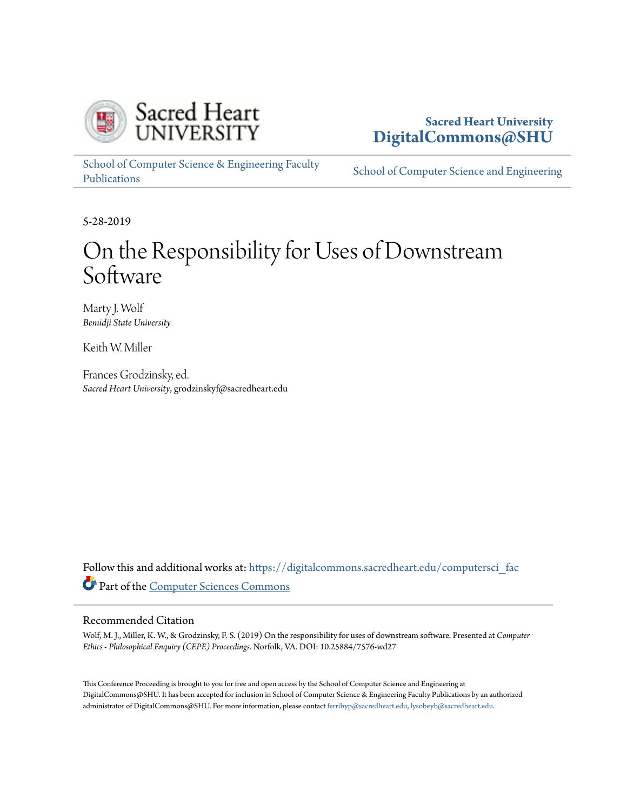

# **Sacred Heart University [DigitalCommons@SHU](https://digitalcommons.sacredheart.edu?utm_source=digitalcommons.sacredheart.edu%2Fcomputersci_fac%2F128&utm_medium=PDF&utm_campaign=PDFCoverPages)**

[School of Computer Science & Engineering Faculty](https://digitalcommons.sacredheart.edu/computersci_fac?utm_source=digitalcommons.sacredheart.edu%2Fcomputersci_fac%2F128&utm_medium=PDF&utm_campaign=PDFCoverPages) [Publications](https://digitalcommons.sacredheart.edu/computersci_fac?utm_source=digitalcommons.sacredheart.edu%2Fcomputersci_fac%2F128&utm_medium=PDF&utm_campaign=PDFCoverPages)

[School of Computer Science and Engineering](https://digitalcommons.sacredheart.edu/computersci?utm_source=digitalcommons.sacredheart.edu%2Fcomputersci_fac%2F128&utm_medium=PDF&utm_campaign=PDFCoverPages)

5-28-2019

# On the Responsibility for Uses of Downstream Software

Marty J. Wolf *Bemidji State University*

Keith W. Miller

Frances Grodzinsky, ed. *Sacred Heart University*, grodzinskyf@sacredheart.edu

Follow this and additional works at: [https://digitalcommons.sacredheart.edu/computersci\\_fac](https://digitalcommons.sacredheart.edu/computersci_fac?utm_source=digitalcommons.sacredheart.edu%2Fcomputersci_fac%2F128&utm_medium=PDF&utm_campaign=PDFCoverPages) Part of the [Computer Sciences Commons](http://network.bepress.com/hgg/discipline/142?utm_source=digitalcommons.sacredheart.edu%2Fcomputersci_fac%2F128&utm_medium=PDF&utm_campaign=PDFCoverPages)

#### Recommended Citation

Wolf, M. J., Miller, K. W., & Grodzinsky, F. S. (2019) On the responsibility for uses of downstream software. Presented at *Computer Ethics - Philosophical Enquiry (CEPE) Proceedings*. Norfolk, VA. DOI: 10.25884/7576-wd27

This Conference Proceeding is brought to you for free and open access by the School of Computer Science and Engineering at DigitalCommons@SHU. It has been accepted for inclusion in School of Computer Science & Engineering Faculty Publications by an authorized administrator of DigitalCommons@SHU. For more information, please contact [ferribyp@sacredheart.edu, lysobeyb@sacredheart.edu.](mailto:ferribyp@sacredheart.edu,%20lysobeyb@sacredheart.edu)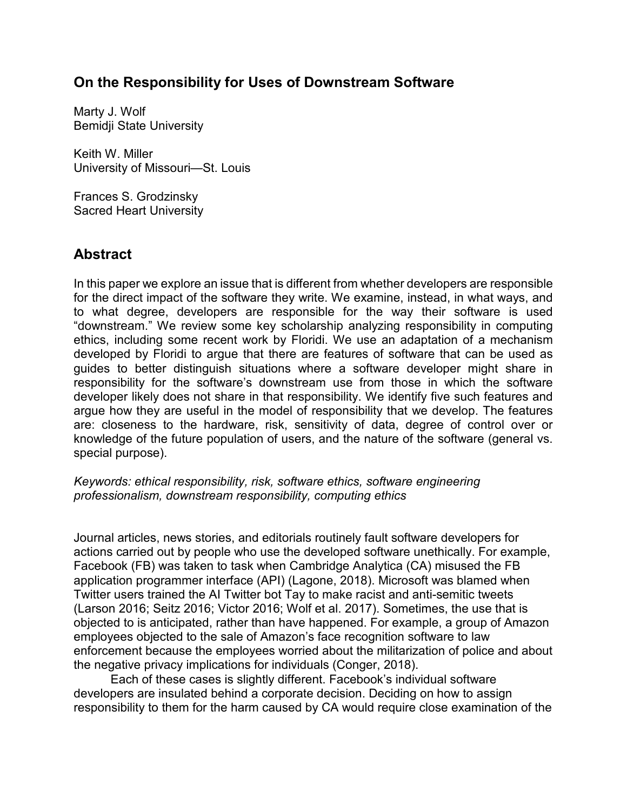# **On the Responsibility for Uses of Downstream Software**

Marty J. Wolf Bemidji State University

Keith W. Miller University of Missouri—St. Louis

Frances S. Grodzinsky Sacred Heart University

# **Abstract**

In this paper we explore an issue that is different from whether developers are responsible for the direct impact of the software they write. We examine, instead, in what ways, and to what degree, developers are responsible for the way their software is used "downstream." We review some key scholarship analyzing responsibility in computing ethics, including some recent work by Floridi. We use an adaptation of a mechanism developed by Floridi to argue that there are features of software that can be used as guides to better distinguish situations where a software developer might share in responsibility for the software's downstream use from those in which the software developer likely does not share in that responsibility. We identify five such features and argue how they are useful in the model of responsibility that we develop. The features are: closeness to the hardware, risk, sensitivity of data, degree of control over or knowledge of the future population of users, and the nature of the software (general vs. special purpose).

*Keywords: ethical responsibility, risk, software ethics, software engineering professionalism, downstream responsibility, computing ethics*

Journal articles, news stories, and editorials routinely fault software developers for actions carried out by people who use the developed software unethically. For example, Facebook (FB) was taken to task when Cambridge Analytica (CA) misused the FB application programmer interface (API) (Lagone, 2018). Microsoft was blamed when Twitter users trained the AI Twitter bot Tay to make racist and anti-semitic tweets (Larson 2016; Seitz 2016; Victor 2016; Wolf et al. 2017). Sometimes, the use that is objected to is anticipated, rather than have happened. For example, a group of Amazon employees objected to the sale of Amazon's face recognition software to law enforcement because the employees worried about the militarization of police and about the negative privacy implications for individuals (Conger, 2018).

Each of these cases is slightly different. Facebook's individual software developers are insulated behind a corporate decision. Deciding on how to assign responsibility to them for the harm caused by CA would require close examination of the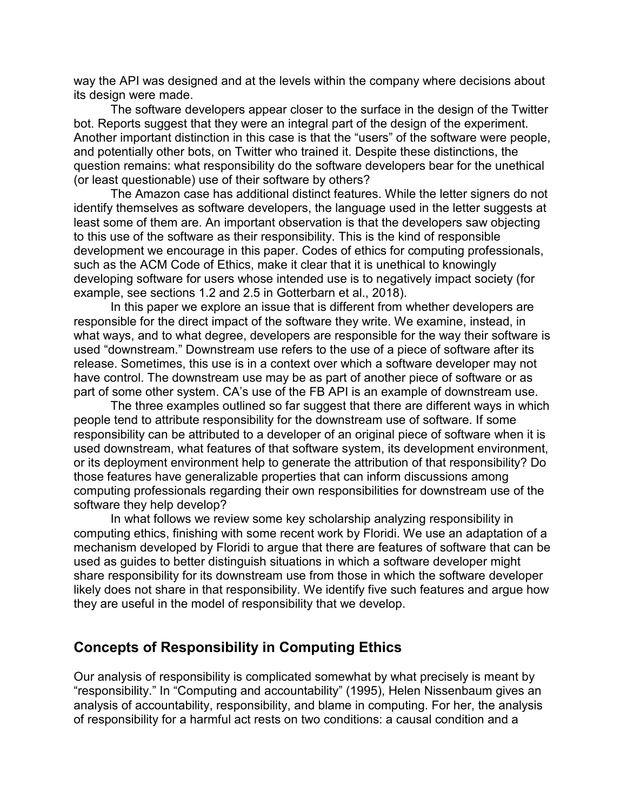way the API was designed and at the levels within the company where decisions about its design were made.

The software developers appear closer to the surface in the design of the Twitter bot. Reports suggest that they were an integral part of the design of the experiment. Another important distinction in this case is that the "users" of the software were people, and potentially other bots, on Twitter who trained it. Despite these distinctions, the question remains: what responsibility do the software developers bear for the unethical (or least questionable) use of their software by others?

The Amazon case has additional distinct features. While the letter signers do not identify themselves as software developers, the language used in the letter suggests at least some of them are. An important observation is that the developers saw objecting to this use of the software as their responsibility. This is the kind of responsible development we encourage in this paper. Codes of ethics for computing professionals, such as the ACM Code of Ethics, make it clear that it is unethical to knowingly developing software for users whose intended use is to negatively impact society (for example, see sections 1.2 and 2.5 in Gotterbarn et al., 2018).

In this paper we explore an issue that is different from whether developers are responsible for the direct impact of the software they write. We examine, instead, in what ways, and to what degree, developers are responsible for the way their software is used "downstream." Downstream use refers to the use of a piece of software after its release. Sometimes, this use is in a context over which a software developer may not have control. The downstream use may be as part of another piece of software or as part of some other system. CA's use of the FB API is an example of downstream use.

The three examples outlined so far suggest that there are different ways in which people tend to attribute responsibility for the downstream use of software. If some responsibility can be attributed to a developer of an original piece of software when it is used downstream, what features of that software system, its development environment, or its deployment environment help to generate the attribution of that responsibility? Do those features have generalizable properties that can inform discussions among computing professionals regarding their own responsibilities for downstream use of the software they help develop?

In what follows we review some key scholarship analyzing responsibility in computing ethics, finishing with some recent work by Floridi. We use an adaptation of a mechanism developed by Floridi to argue that there are features of software that can be used as guides to better distinguish situations in which a software developer might share responsibility for its downstream use from those in which the software developer likely does not share in that responsibility. We identify five such features and argue how they are useful in the model of responsibility that we develop.

#### **Concepts of Responsibility in Computing Ethics**

Our analysis of responsibility is complicated somewhat by what precisely is meant by "responsibility." In "Computing and accountability" (1995), Helen Nissenbaum gives an analysis of accountability, responsibility, and blame in computing. For her, the analysis of responsibility for a harmful act rests on two conditions: a causal condition and a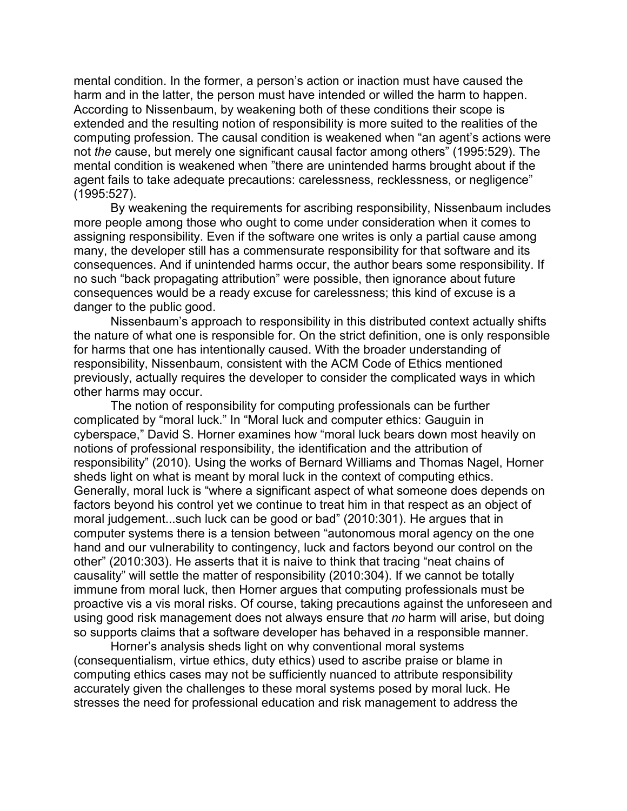mental condition. In the former, a person's action or inaction must have caused the harm and in the latter, the person must have intended or willed the harm to happen. According to Nissenbaum, by weakening both of these conditions their scope is extended and the resulting notion of responsibility is more suited to the realities of the computing profession. The causal condition is weakened when "an agent's actions were not *the* cause, but merely one significant causal factor among others" (1995:529). The mental condition is weakened when "there are unintended harms brought about if the agent fails to take adequate precautions: carelessness, recklessness, or negligence" (1995:527).

By weakening the requirements for ascribing responsibility, Nissenbaum includes more people among those who ought to come under consideration when it comes to assigning responsibility. Even if the software one writes is only a partial cause among many, the developer still has a commensurate responsibility for that software and its consequences. And if unintended harms occur, the author bears some responsibility. If no such "back propagating attribution" were possible, then ignorance about future consequences would be a ready excuse for carelessness; this kind of excuse is a danger to the public good.

Nissenbaum's approach to responsibility in this distributed context actually shifts the nature of what one is responsible for. On the strict definition, one is only responsible for harms that one has intentionally caused. With the broader understanding of responsibility, Nissenbaum, consistent with the ACM Code of Ethics mentioned previously, actually requires the developer to consider the complicated ways in which other harms may occur.

The notion of responsibility for computing professionals can be further complicated by "moral luck." In "Moral luck and computer ethics: Gauguin in cyberspace," David S. Horner examines how "moral luck bears down most heavily on notions of professional responsibility, the identification and the attribution of responsibility" (2010). Using the works of Bernard Williams and Thomas Nagel, Horner sheds light on what is meant by moral luck in the context of computing ethics. Generally, moral luck is "where a significant aspect of what someone does depends on factors beyond his control yet we continue to treat him in that respect as an object of moral judgement...such luck can be good or bad" (2010:301). He argues that in computer systems there is a tension between "autonomous moral agency on the one hand and our vulnerability to contingency, luck and factors beyond our control on the other" (2010:303). He asserts that it is naive to think that tracing "neat chains of causality" will settle the matter of responsibility (2010:304). If we cannot be totally immune from moral luck, then Horner argues that computing professionals must be proactive vis a vis moral risks. Of course, taking precautions against the unforeseen and using good risk management does not always ensure that *no* harm will arise, but doing so supports claims that a software developer has behaved in a responsible manner.

Horner's analysis sheds light on why conventional moral systems (consequentialism, virtue ethics, duty ethics) used to ascribe praise or blame in computing ethics cases may not be sufficiently nuanced to attribute responsibility accurately given the challenges to these moral systems posed by moral luck. He stresses the need for professional education and risk management to address the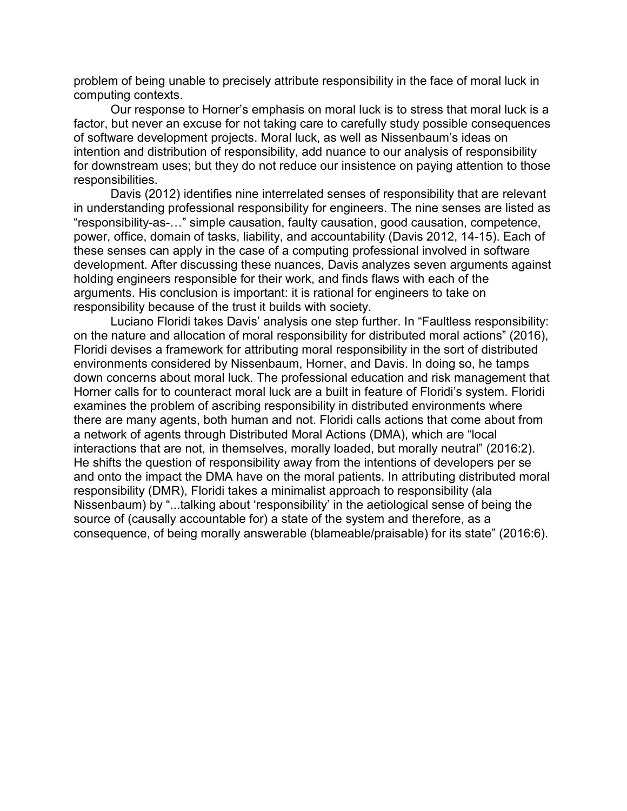problem of being unable to precisely attribute responsibility in the face of moral luck in computing contexts.

Our response to Horner's emphasis on moral luck is to stress that moral luck is a factor, but never an excuse for not taking care to carefully study possible consequences of software development projects. Moral luck, as well as Nissenbaum's ideas on intention and distribution of responsibility, add nuance to our analysis of responsibility for downstream uses; but they do not reduce our insistence on paying attention to those responsibilities.

Davis (2012) identifies nine interrelated senses of responsibility that are relevant in understanding professional responsibility for engineers. The nine senses are listed as "responsibility-as-…" simple causation, faulty causation, good causation, competence, power, office, domain of tasks, liability, and accountability (Davis 2012, 14-15). Each of these senses can apply in the case of a computing professional involved in software development. After discussing these nuances, Davis analyzes seven arguments against holding engineers responsible for their work, and finds flaws with each of the arguments. His conclusion is important: it is rational for engineers to take on responsibility because of the trust it builds with society.

Luciano Floridi takes Davis' analysis one step further. In "Faultless responsibility: on the nature and allocation of moral responsibility for distributed moral actions" (2016), Floridi devises a framework for attributing moral responsibility in the sort of distributed environments considered by Nissenbaum, Horner, and Davis. In doing so, he tamps down concerns about moral luck. The professional education and risk management that Horner calls for to counteract moral luck are a built in feature of Floridi's system. Floridi examines the problem of ascribing responsibility in distributed environments where there are many agents, both human and not. Floridi calls actions that come about from a network of agents through Distributed Moral Actions (DMA), which are "local interactions that are not, in themselves, morally loaded, but morally neutral" (2016:2). He shifts the question of responsibility away from the intentions of developers per se and onto the impact the DMA have on the moral patients. In attributing distributed moral responsibility (DMR), Floridi takes a minimalist approach to responsibility (ala Nissenbaum) by "...talking about 'responsibility' in the aetiological sense of being the source of (causally accountable for) a state of the system and therefore, as a consequence, of being morally answerable (blameable/praisable) for its state" (2016:6).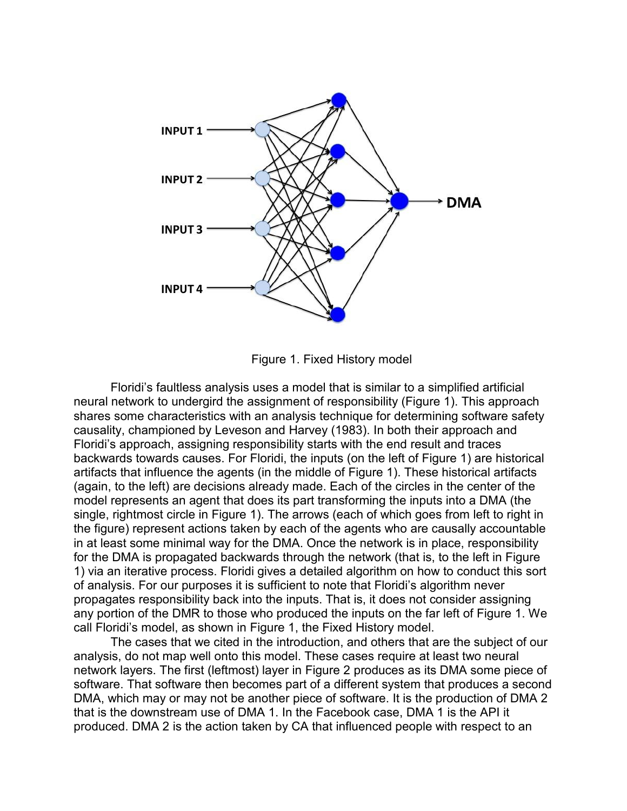

Figure 1. Fixed History model

Floridi's faultless analysis uses a model that is similar to a simplified artificial neural network to undergird the assignment of responsibility (Figure 1). This approach shares some characteristics with an analysis technique for determining software safety causality, championed by Leveson and Harvey (1983). In both their approach and Floridi's approach, assigning responsibility starts with the end result and traces backwards towards causes. For Floridi, the inputs (on the left of Figure 1) are historical artifacts that influence the agents (in the middle of Figure 1). These historical artifacts (again, to the left) are decisions already made. Each of the circles in the center of the model represents an agent that does its part transforming the inputs into a DMA (the single, rightmost circle in Figure 1). The arrows (each of which goes from left to right in the figure) represent actions taken by each of the agents who are causally accountable in at least some minimal way for the DMA. Once the network is in place, responsibility for the DMA is propagated backwards through the network (that is, to the left in Figure 1) via an iterative process. Floridi gives a detailed algorithm on how to conduct this sort of analysis. For our purposes it is sufficient to note that Floridi's algorithm never propagates responsibility back into the inputs. That is, it does not consider assigning any portion of the DMR to those who produced the inputs on the far left of Figure 1. We call Floridi's model, as shown in Figure 1, the Fixed History model.

The cases that we cited in the introduction, and others that are the subject of our analysis, do not map well onto this model. These cases require at least two neural network layers. The first (leftmost) layer in Figure 2 produces as its DMA some piece of software. That software then becomes part of a different system that produces a second DMA, which may or may not be another piece of software. It is the production of DMA 2 that is the downstream use of DMA 1. In the Facebook case, DMA 1 is the API it produced. DMA 2 is the action taken by CA that influenced people with respect to an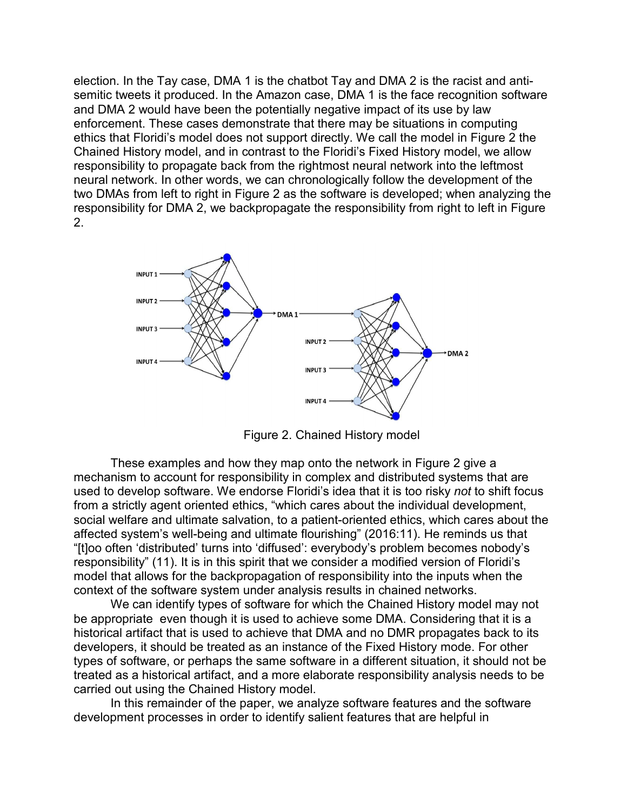election. In the Tay case, DMA 1 is the chatbot Tay and DMA 2 is the racist and antisemitic tweets it produced. In the Amazon case, DMA 1 is the face recognition software and DMA 2 would have been the potentially negative impact of its use by law enforcement. These cases demonstrate that there may be situations in computing ethics that Floridi's model does not support directly. We call the model in Figure 2 the Chained History model, and in contrast to the Floridi's Fixed History model, we allow responsibility to propagate back from the rightmost neural network into the leftmost neural network. In other words, we can chronologically follow the development of the two DMAs from left to right in Figure 2 as the software is developed; when analyzing the responsibility for DMA 2, we backpropagate the responsibility from right to left in Figure 2.



Figure 2. Chained History model

These examples and how they map onto the network in Figure 2 give a mechanism to account for responsibility in complex and distributed systems that are used to develop software. We endorse Floridi's idea that it is too risky *not* to shift focus from a strictly agent oriented ethics, "which cares about the individual development, social welfare and ultimate salvation, to a patient-oriented ethics, which cares about the affected system's well-being and ultimate flourishing" (2016:11). He reminds us that "[t]oo often 'distributed' turns into 'diffused': everybody's problem becomes nobody's responsibility" (11). It is in this spirit that we consider a modified version of Floridi's model that allows for the backpropagation of responsibility into the inputs when the context of the software system under analysis results in chained networks.

We can identify types of software for which the Chained History model may not be appropriate even though it is used to achieve some DMA. Considering that it is a historical artifact that is used to achieve that DMA and no DMR propagates back to its developers, it should be treated as an instance of the Fixed History mode. For other types of software, or perhaps the same software in a different situation, it should not be treated as a historical artifact, and a more elaborate responsibility analysis needs to be carried out using the Chained History model.

In this remainder of the paper, we analyze software features and the software development processes in order to identify salient features that are helpful in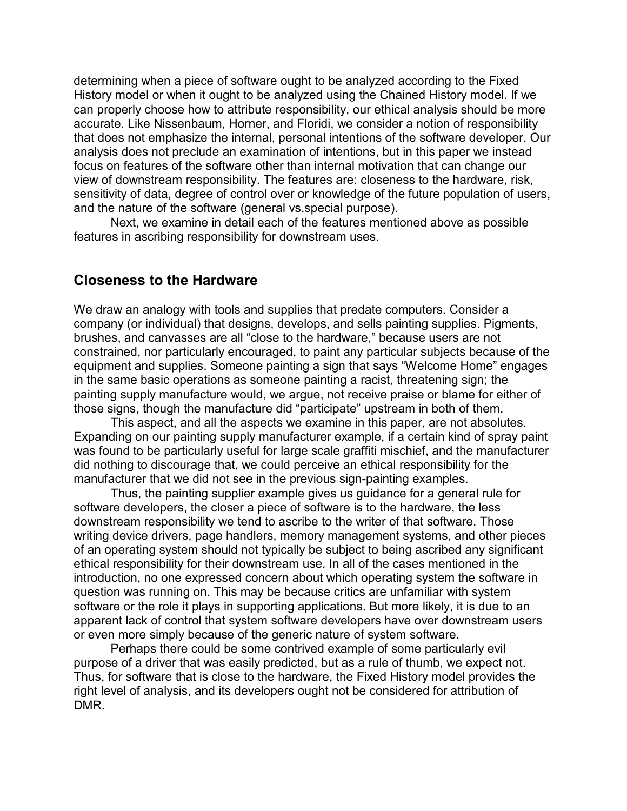determining when a piece of software ought to be analyzed according to the Fixed History model or when it ought to be analyzed using the Chained History model. If we can properly choose how to attribute responsibility, our ethical analysis should be more accurate. Like Nissenbaum, Horner, and Floridi, we consider a notion of responsibility that does not emphasize the internal, personal intentions of the software developer. Our analysis does not preclude an examination of intentions, but in this paper we instead focus on features of the software other than internal motivation that can change our view of downstream responsibility. The features are: closeness to the hardware, risk, sensitivity of data, degree of control over or knowledge of the future population of users, and the nature of the software (general vs.special purpose).

Next, we examine in detail each of the features mentioned above as possible features in ascribing responsibility for downstream uses.

#### **Closeness to the Hardware**

We draw an analogy with tools and supplies that predate computers. Consider a company (or individual) that designs, develops, and sells painting supplies. Pigments, brushes, and canvasses are all "close to the hardware," because users are not constrained, nor particularly encouraged, to paint any particular subjects because of the equipment and supplies. Someone painting a sign that says "Welcome Home" engages in the same basic operations as someone painting a racist, threatening sign; the painting supply manufacture would, we argue, not receive praise or blame for either of those signs, though the manufacture did "participate" upstream in both of them.

This aspect, and all the aspects we examine in this paper, are not absolutes. Expanding on our painting supply manufacturer example, if a certain kind of spray paint was found to be particularly useful for large scale graffiti mischief, and the manufacturer did nothing to discourage that, we could perceive an ethical responsibility for the manufacturer that we did not see in the previous sign-painting examples.

Thus, the painting supplier example gives us guidance for a general rule for software developers, the closer a piece of software is to the hardware, the less downstream responsibility we tend to ascribe to the writer of that software. Those writing device drivers, page handlers, memory management systems, and other pieces of an operating system should not typically be subject to being ascribed any significant ethical responsibility for their downstream use. In all of the cases mentioned in the introduction, no one expressed concern about which operating system the software in question was running on. This may be because critics are unfamiliar with system software or the role it plays in supporting applications. But more likely, it is due to an apparent lack of control that system software developers have over downstream users or even more simply because of the generic nature of system software.

Perhaps there could be some contrived example of some particularly evil purpose of a driver that was easily predicted, but as a rule of thumb, we expect not. Thus, for software that is close to the hardware, the Fixed History model provides the right level of analysis, and its developers ought not be considered for attribution of DMR.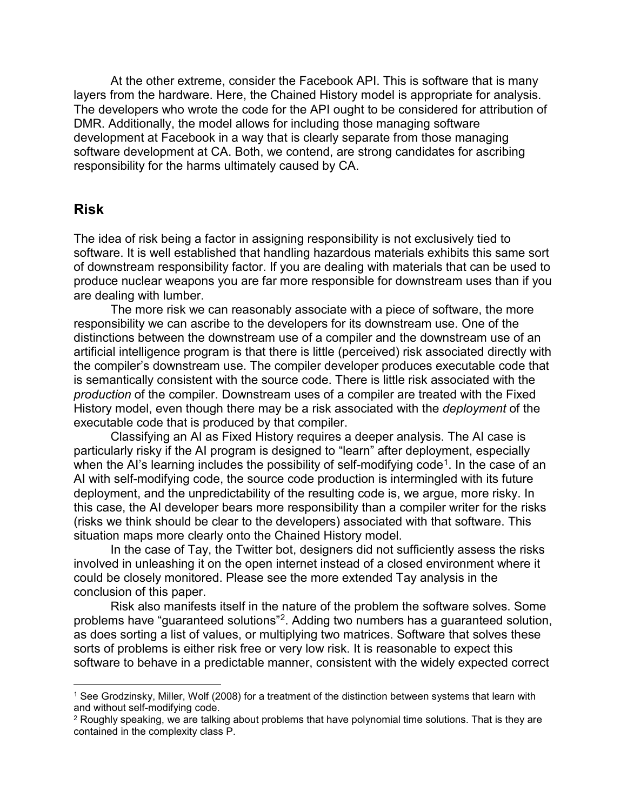At the other extreme, consider the Facebook API. This is software that is many layers from the hardware. Here, the Chained History model is appropriate for analysis. The developers who wrote the code for the API ought to be considered for attribution of DMR. Additionally, the model allows for including those managing software development at Facebook in a way that is clearly separate from those managing software development at CA. Both, we contend, are strong candidates for ascribing responsibility for the harms ultimately caused by CA.

#### **Risk**

The idea of risk being a factor in assigning responsibility is not exclusively tied to software. It is well established that handling hazardous materials exhibits this same sort of downstream responsibility factor. If you are dealing with materials that can be used to produce nuclear weapons you are far more responsible for downstream uses than if you are dealing with lumber.

The more risk we can reasonably associate with a piece of software, the more responsibility we can ascribe to the developers for its downstream use. One of the distinctions between the downstream use of a compiler and the downstream use of an artificial intelligence program is that there is little (perceived) risk associated directly with the compiler's downstream use. The compiler developer produces executable code that is semantically consistent with the source code. There is little risk associated with the *production* of the compiler. Downstream uses of a compiler are treated with the Fixed History model, even though there may be a risk associated with the *deployment* of the executable code that is produced by that compiler.

Classifying an AI as Fixed History requires a deeper analysis. The AI case is particularly risky if the AI program is designed to "learn" after deployment, especially when the AI's learning includes the possibility of self-modifying code<sup>1</sup>. In the case of an AI with self-modifying code, the source code production is intermingled with its future deployment, and the unpredictability of the resulting code is, we argue, more risky. In this case, the AI developer bears more responsibility than a compiler writer for the risks (risks we think should be clear to the developers) associated with that software. This situation maps more clearly onto the Chained History model.

In the case of Tay, the Twitter bot, designers did not sufficiently assess the risks involved in unleashing it on the open internet instead of a closed environment where it could be closely monitored. Please see the more extended Tay analysis in the conclusion of this paper.

Risk also manifests itself in the nature of the problem the software solves. Some problems have "guaranteed solutions"[2](#page-8-1). Adding two numbers has a guaranteed solution, as does sorting a list of values, or multiplying two matrices. Software that solves these sorts of problems is either risk free or very low risk. It is reasonable to expect this software to behave in a predictable manner, consistent with the widely expected correct

<span id="page-8-0"></span><sup>1</sup> See Grodzinsky, Miller, Wolf (2008) for a treatment of the distinction between systems that learn with and without self-modifying code.

<span id="page-8-1"></span><sup>&</sup>lt;sup>2</sup> Roughly speaking, we are talking about problems that have polynomial time solutions. That is they are contained in the complexity class P.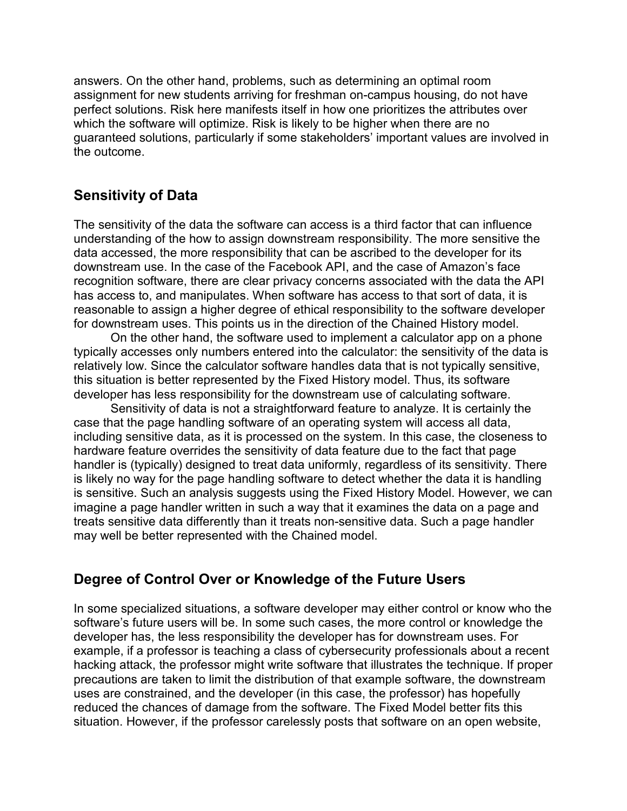answers. On the other hand, problems, such as determining an optimal room assignment for new students arriving for freshman on-campus housing, do not have perfect solutions. Risk here manifests itself in how one prioritizes the attributes over which the software will optimize. Risk is likely to be higher when there are no guaranteed solutions, particularly if some stakeholders' important values are involved in the outcome.

# **Sensitivity of Data**

The sensitivity of the data the software can access is a third factor that can influence understanding of the how to assign downstream responsibility. The more sensitive the data accessed, the more responsibility that can be ascribed to the developer for its downstream use. In the case of the Facebook API, and the case of Amazon's face recognition software, there are clear privacy concerns associated with the data the API has access to, and manipulates. When software has access to that sort of data, it is reasonable to assign a higher degree of ethical responsibility to the software developer for downstream uses. This points us in the direction of the Chained History model.

On the other hand, the software used to implement a calculator app on a phone typically accesses only numbers entered into the calculator: the sensitivity of the data is relatively low. Since the calculator software handles data that is not typically sensitive, this situation is better represented by the Fixed History model. Thus, its software developer has less responsibility for the downstream use of calculating software.

Sensitivity of data is not a straightforward feature to analyze. It is certainly the case that the page handling software of an operating system will access all data, including sensitive data, as it is processed on the system. In this case, the closeness to hardware feature overrides the sensitivity of data feature due to the fact that page handler is (typically) designed to treat data uniformly, regardless of its sensitivity. There is likely no way for the page handling software to detect whether the data it is handling is sensitive. Such an analysis suggests using the Fixed History Model. However, we can imagine a page handler written in such a way that it examines the data on a page and treats sensitive data differently than it treats non-sensitive data. Such a page handler may well be better represented with the Chained model.

# **Degree of Control Over or Knowledge of the Future Users**

In some specialized situations, a software developer may either control or know who the software's future users will be. In some such cases, the more control or knowledge the developer has, the less responsibility the developer has for downstream uses. For example, if a professor is teaching a class of cybersecurity professionals about a recent hacking attack, the professor might write software that illustrates the technique. If proper precautions are taken to limit the distribution of that example software, the downstream uses are constrained, and the developer (in this case, the professor) has hopefully reduced the chances of damage from the software. The Fixed Model better fits this situation. However, if the professor carelessly posts that software on an open website,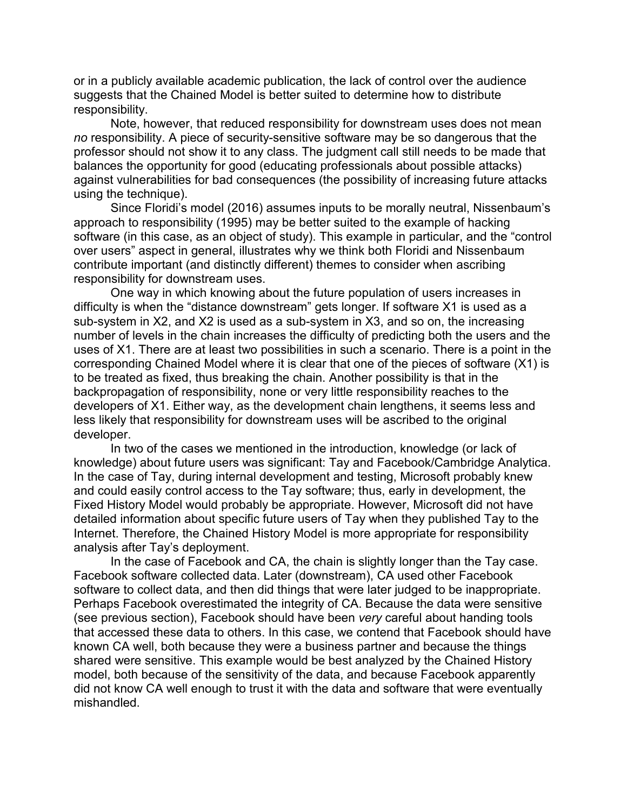or in a publicly available academic publication, the lack of control over the audience suggests that the Chained Model is better suited to determine how to distribute responsibility.

Note, however, that reduced responsibility for downstream uses does not mean *no* responsibility. A piece of security-sensitive software may be so dangerous that the professor should not show it to any class. The judgment call still needs to be made that balances the opportunity for good (educating professionals about possible attacks) against vulnerabilities for bad consequences (the possibility of increasing future attacks using the technique).

Since Floridi's model (2016) assumes inputs to be morally neutral, Nissenbaum's approach to responsibility (1995) may be better suited to the example of hacking software (in this case, as an object of study). This example in particular, and the "control over users" aspect in general, illustrates why we think both Floridi and Nissenbaum contribute important (and distinctly different) themes to consider when ascribing responsibility for downstream uses.

One way in which knowing about the future population of users increases in difficulty is when the "distance downstream" gets longer. If software X1 is used as a sub-system in X2, and X2 is used as a sub-system in X3, and so on, the increasing number of levels in the chain increases the difficulty of predicting both the users and the uses of X1. There are at least two possibilities in such a scenario. There is a point in the corresponding Chained Model where it is clear that one of the pieces of software (X1) is to be treated as fixed, thus breaking the chain. Another possibility is that in the backpropagation of responsibility, none or very little responsibility reaches to the developers of X1. Either way, as the development chain lengthens, it seems less and less likely that responsibility for downstream uses will be ascribed to the original developer.

In two of the cases we mentioned in the introduction, knowledge (or lack of knowledge) about future users was significant: Tay and Facebook/Cambridge Analytica. In the case of Tay, during internal development and testing, Microsoft probably knew and could easily control access to the Tay software; thus, early in development, the Fixed History Model would probably be appropriate. However, Microsoft did not have detailed information about specific future users of Tay when they published Tay to the Internet. Therefore, the Chained History Model is more appropriate for responsibility analysis after Tay's deployment.

In the case of Facebook and CA, the chain is slightly longer than the Tay case. Facebook software collected data. Later (downstream), CA used other Facebook software to collect data, and then did things that were later judged to be inappropriate. Perhaps Facebook overestimated the integrity of CA. Because the data were sensitive (see previous section), Facebook should have been *very* careful about handing tools that accessed these data to others. In this case, we contend that Facebook should have known CA well, both because they were a business partner and because the things shared were sensitive. This example would be best analyzed by the Chained History model, both because of the sensitivity of the data, and because Facebook apparently did not know CA well enough to trust it with the data and software that were eventually mishandled.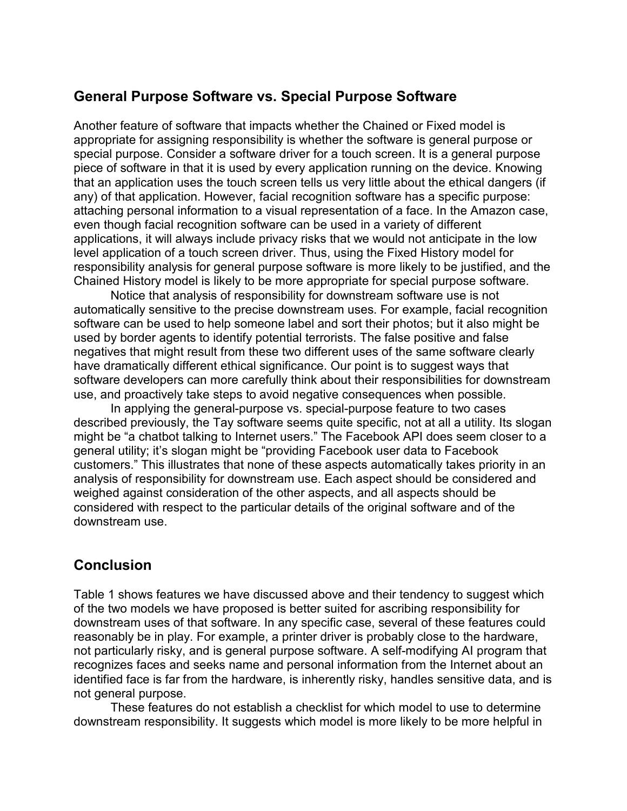### **General Purpose Software vs. Special Purpose Software**

Another feature of software that impacts whether the Chained or Fixed model is appropriate for assigning responsibility is whether the software is general purpose or special purpose. Consider a software driver for a touch screen. It is a general purpose piece of software in that it is used by every application running on the device. Knowing that an application uses the touch screen tells us very little about the ethical dangers (if any) of that application. However, facial recognition software has a specific purpose: attaching personal information to a visual representation of a face. In the Amazon case, even though facial recognition software can be used in a variety of different applications, it will always include privacy risks that we would not anticipate in the low level application of a touch screen driver. Thus, using the Fixed History model for responsibility analysis for general purpose software is more likely to be justified, and the Chained History model is likely to be more appropriate for special purpose software.

Notice that analysis of responsibility for downstream software use is not automatically sensitive to the precise downstream uses. For example, facial recognition software can be used to help someone label and sort their photos; but it also might be used by border agents to identify potential terrorists. The false positive and false negatives that might result from these two different uses of the same software clearly have dramatically different ethical significance. Our point is to suggest ways that software developers can more carefully think about their responsibilities for downstream use, and proactively take steps to avoid negative consequences when possible.

In applying the general-purpose vs. special-purpose feature to two cases described previously, the Tay software seems quite specific, not at all a utility. Its slogan might be "a chatbot talking to Internet users." The Facebook API does seem closer to a general utility; it's slogan might be "providing Facebook user data to Facebook customers." This illustrates that none of these aspects automatically takes priority in an analysis of responsibility for downstream use. Each aspect should be considered and weighed against consideration of the other aspects, and all aspects should be considered with respect to the particular details of the original software and of the downstream use.

# **Conclusion**

Table 1 shows features we have discussed above and their tendency to suggest which of the two models we have proposed is better suited for ascribing responsibility for downstream uses of that software. In any specific case, several of these features could reasonably be in play. For example, a printer driver is probably close to the hardware, not particularly risky, and is general purpose software. A self-modifying AI program that recognizes faces and seeks name and personal information from the Internet about an identified face is far from the hardware, is inherently risky, handles sensitive data, and is not general purpose.

These features do not establish a checklist for which model to use to determine downstream responsibility. It suggests which model is more likely to be more helpful in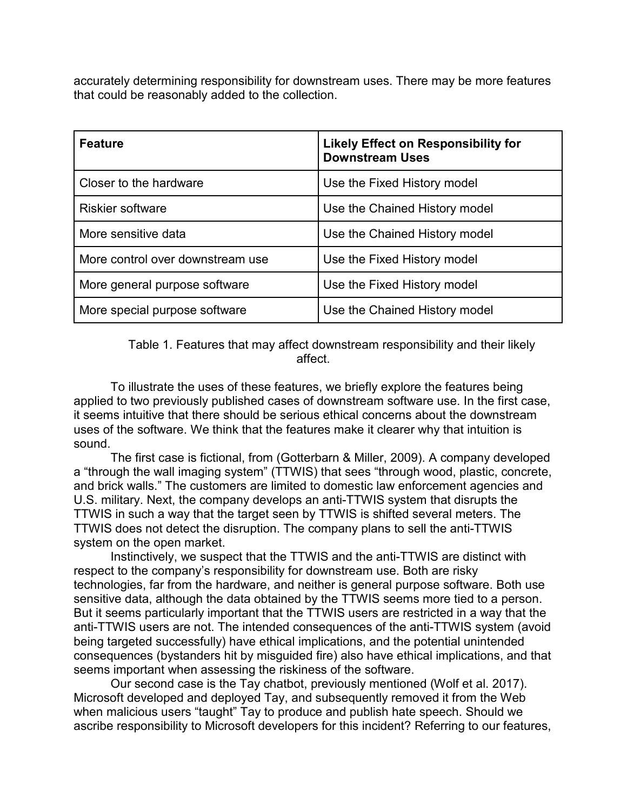accurately determining responsibility for downstream uses. There may be more features that could be reasonably added to the collection.

| <b>Feature</b>                   | <b>Likely Effect on Responsibility for</b><br><b>Downstream Uses</b> |
|----------------------------------|----------------------------------------------------------------------|
| Closer to the hardware           | Use the Fixed History model                                          |
| <b>Riskier software</b>          | Use the Chained History model                                        |
| More sensitive data              | Use the Chained History model                                        |
| More control over downstream use | Use the Fixed History model                                          |
| More general purpose software    | Use the Fixed History model                                          |
| More special purpose software    | Use the Chained History model                                        |

Table 1. Features that may affect downstream responsibility and their likely affect.

To illustrate the uses of these features, we briefly explore the features being applied to two previously published cases of downstream software use. In the first case, it seems intuitive that there should be serious ethical concerns about the downstream uses of the software. We think that the features make it clearer why that intuition is sound.

The first case is fictional, from (Gotterbarn & Miller, 2009). A company developed a "through the wall imaging system" (TTWIS) that sees "through wood, plastic, concrete, and brick walls." The customers are limited to domestic law enforcement agencies and U.S. military. Next, the company develops an anti-TTWIS system that disrupts the TTWIS in such a way that the target seen by TTWIS is shifted several meters. The TTWIS does not detect the disruption. The company plans to sell the anti-TTWIS system on the open market.

Instinctively, we suspect that the TTWIS and the anti-TTWIS are distinct with respect to the company's responsibility for downstream use. Both are risky technologies, far from the hardware, and neither is general purpose software. Both use sensitive data, although the data obtained by the TTWIS seems more tied to a person. But it seems particularly important that the TTWIS users are restricted in a way that the anti-TTWIS users are not. The intended consequences of the anti-TTWIS system (avoid being targeted successfully) have ethical implications, and the potential unintended consequences (bystanders hit by misguided fire) also have ethical implications, and that seems important when assessing the riskiness of the software.

Our second case is the Tay chatbot, previously mentioned (Wolf et al. 2017). Microsoft developed and deployed Tay, and subsequently removed it from the Web when malicious users "taught" Tay to produce and publish hate speech. Should we ascribe responsibility to Microsoft developers for this incident? Referring to our features,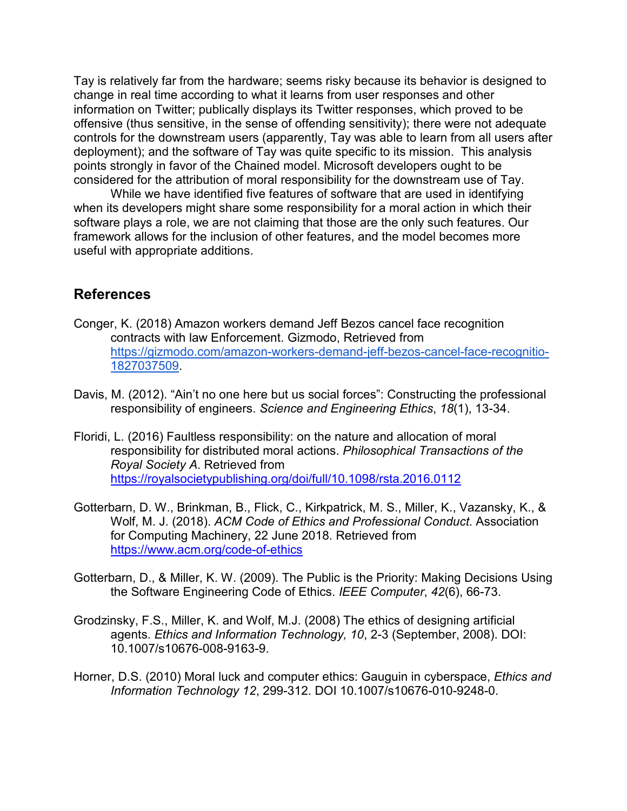Tay is relatively far from the hardware; seems risky because its behavior is designed to change in real time according to what it learns from user responses and other information on Twitter; publically displays its Twitter responses, which proved to be offensive (thus sensitive, in the sense of offending sensitivity); there were not adequate controls for the downstream users (apparently, Tay was able to learn from all users after deployment); and the software of Tay was quite specific to its mission. This analysis points strongly in favor of the Chained model. Microsoft developers ought to be considered for the attribution of moral responsibility for the downstream use of Tay.

While we have identified five features of software that are used in identifying when its developers might share some responsibility for a moral action in which their software plays a role, we are not claiming that those are the only such features. Our framework allows for the inclusion of other features, and the model becomes more useful with appropriate additions.

#### **References**

- Conger, K. (2018) Amazon workers demand Jeff Bezos cancel face recognition contracts with law Enforcement. Gizmodo, Retrieved from [https://gizmodo.com/amazon-workers-demand-jeff-bezos-cancel-face-recognitio-](https://gizmodo.com/amazon-workers-demand-jeff-bezos-cancel-face-recognitio-1827037509)[1827037509.](https://gizmodo.com/amazon-workers-demand-jeff-bezos-cancel-face-recognitio-1827037509)
- Davis, M. (2012). "Ain't no one here but us social forces": Constructing the professional responsibility of engineers. *Science and Engineering Ethics*, *18*(1), 13-34.
- Floridi, L. (2016) Faultless responsibility: on the nature and allocation of moral responsibility for distributed moral actions. *Philosophical Transactions of the Royal Society A*. Retrieved from <https://royalsocietypublishing.org/doi/full/10.1098/rsta.2016.0112>
- Gotterbarn, D. W., Brinkman, B., Flick, C., Kirkpatrick, M. S., Miller, K., Vazansky, K., & Wolf, M. J. (2018). *ACM Code of Ethics and Professional Conduct*. Association for Computing Machinery, 22 June 2018. Retrieved from <https://www.acm.org/code-of-ethics>
- Gotterbarn, D., & Miller, K. W. (2009). The Public is the Priority: Making Decisions Using the Software Engineering Code of Ethics. *IEEE Computer*, *42*(6), 66-73.
- Grodzinsky, F.S., Miller, K. and Wolf, M.J. (2008) The ethics of designing artificial agents. *Ethics and Information Technology, 10*, 2-3 (September, 2008). DOI: 10.1007/s10676-008-9163-9.
- Horner, D.S. (2010) Moral luck and computer ethics: Gauguin in cyberspace, *Ethics and Information Technology 12*, 299-312. DOI 10.1007/s10676-010-9248-0.